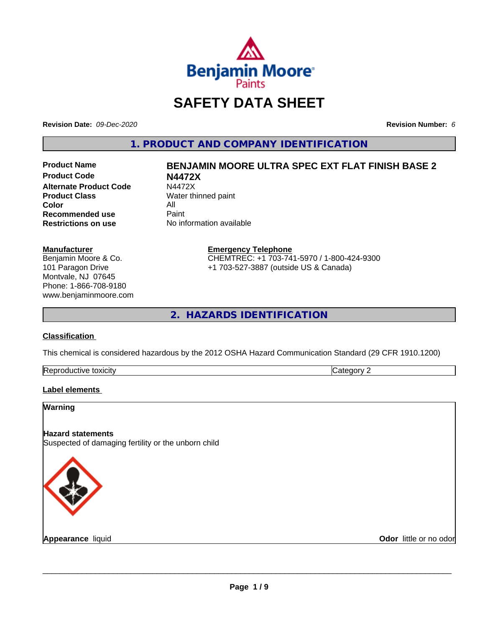

# **SAFETY DATA SHEET**

**Revision Date:** *09-Dec-2020* **Revision Number:** *6*

**1. PRODUCT AND COMPANY IDENTIFICATION**

**Product Name BENJAMIN MOORE ULTRA SPEC EXT FLAT FINISH BASE 2 Product Code N4472X Alternate Product Code** N4472X<br> **Product Class** Water th **Color** All<br> **Recommended use** Paint **Recommended use**<br>Restrictions on use

# **Water thinned paint**

**No information available** 

## **Manufacturer**

Benjamin Moore & Co. 101 Paragon Drive Montvale, NJ 07645 Phone: 1-866-708-9180 www.benjaminmoore.com

#### **Emergency Telephone** CHEMTREC: +1 703-741-5970 / 1-800-424-9300 +1 703-527-3887 (outside US & Canada)

**2. HAZARDS IDENTIFICATION**

# **Classification**

This chemical is considered hazardous by the 2012 OSHA Hazard Communication Standard (29 CFR 1910.1200)

| Re<br>toxicity | $\overline{\phantom{a}}$<br>- - |
|----------------|---------------------------------|

# **Label elements**

# **Warning Hazard statements** Suspected of damaging fertility or the unborn child

**Appearance** liquid

**Odor** little or no odor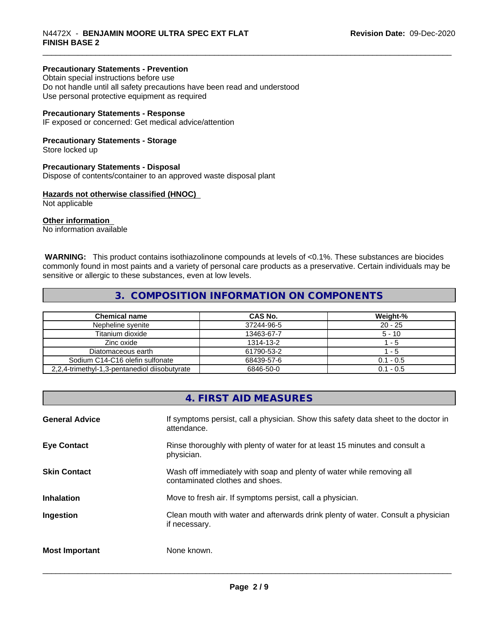# **Precautionary Statements - Prevention**

Obtain special instructions before use Do not handle until all safety precautions have been read and understood Use personal protective equipment as required

# **Precautionary Statements - Response**

IF exposed or concerned: Get medical advice/attention

# **Precautionary Statements - Storage**

Store locked up

## **Precautionary Statements - Disposal**

Dispose of contents/container to an approved waste disposal plant

## **Hazards not otherwise classified (HNOC)**

Not applicable

## **Other information**

No information available

 **WARNING:** This product contains isothiazolinone compounds at levels of <0.1%. These substances are biocides commonly found in most paints and a variety of personal care products as a preservative. Certain individuals may be sensitive or allergic to these substances, even at low levels.

# **3. COMPOSITION INFORMATION ON COMPONENTS**

| <b>Chemical name</b>                          | CAS No.    | Weight-%    |
|-----------------------------------------------|------------|-------------|
| Nepheline svenite                             | 37244-96-5 | $20 - 25$   |
| Titanium dioxide                              | 13463-67-7 | $5 - 10$    |
| Zinc oxide                                    | 1314-13-2  | - 5         |
| Diatomaceous earth                            | 61790-53-2 | - 5         |
| Sodium C14-C16 olefin sulfonate               | 68439-57-6 | $0.1 - 0.5$ |
| 2,2,4-trimethyl-1,3-pentanediol diisobutyrate | 6846-50-0  | $0.1 - 0.5$ |

# **4. FIRST AID MEASURES**

| <b>General Advice</b> | If symptoms persist, call a physician. Show this safety data sheet to the doctor in<br>attendance.       |
|-----------------------|----------------------------------------------------------------------------------------------------------|
| <b>Eye Contact</b>    | Rinse thoroughly with plenty of water for at least 15 minutes and consult a<br>physician.                |
| <b>Skin Contact</b>   | Wash off immediately with soap and plenty of water while removing all<br>contaminated clothes and shoes. |
| <b>Inhalation</b>     | Move to fresh air. If symptoms persist, call a physician.                                                |
| Ingestion             | Clean mouth with water and afterwards drink plenty of water. Consult a physician<br>if necessary.        |
| <b>Most Important</b> | None known.                                                                                              |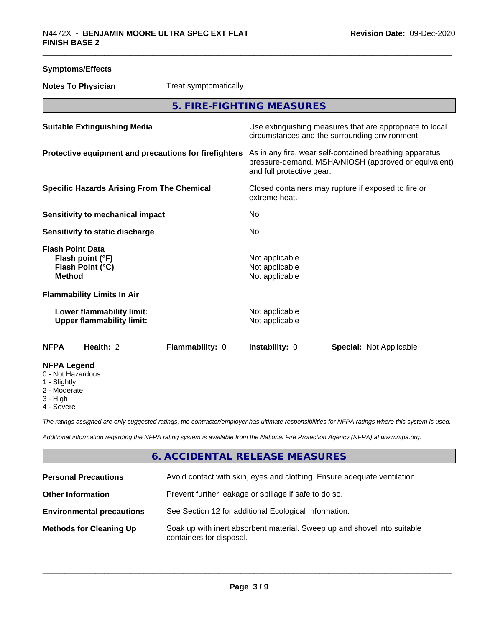| <b>Symptoms/Effects</b>                                                          |                                                               |                                                       |                                                    |                                                                                                                 |
|----------------------------------------------------------------------------------|---------------------------------------------------------------|-------------------------------------------------------|----------------------------------------------------|-----------------------------------------------------------------------------------------------------------------|
| <b>Notes To Physician</b>                                                        |                                                               | Treat symptomatically.                                |                                                    |                                                                                                                 |
|                                                                                  |                                                               |                                                       | 5. FIRE-FIGHTING MEASURES                          |                                                                                                                 |
|                                                                                  | <b>Suitable Extinguishing Media</b>                           |                                                       |                                                    | Use extinguishing measures that are appropriate to local<br>circumstances and the surrounding environment.      |
|                                                                                  |                                                               | Protective equipment and precautions for firefighters | and full protective gear.                          | As in any fire, wear self-contained breathing apparatus<br>pressure-demand, MSHA/NIOSH (approved or equivalent) |
|                                                                                  | <b>Specific Hazards Arising From The Chemical</b>             |                                                       | extreme heat.                                      | Closed containers may rupture if exposed to fire or                                                             |
|                                                                                  | <b>Sensitivity to mechanical impact</b>                       |                                                       | No                                                 |                                                                                                                 |
|                                                                                  | Sensitivity to static discharge                               |                                                       | No                                                 |                                                                                                                 |
| <b>Flash Point Data</b><br>Flash point (°F)<br>Flash Point (°C)<br><b>Method</b> |                                                               |                                                       | Not applicable<br>Not applicable<br>Not applicable |                                                                                                                 |
|                                                                                  | <b>Flammability Limits In Air</b>                             |                                                       |                                                    |                                                                                                                 |
|                                                                                  | Lower flammability limit:<br><b>Upper flammability limit:</b> |                                                       | Not applicable<br>Not applicable                   |                                                                                                                 |
| <b>NFPA</b>                                                                      | Health: 2                                                     | Flammability: 0                                       | Instability: 0                                     | <b>Special: Not Applicable</b>                                                                                  |
| <b>NFPA Legend</b><br>0 - Not Hazardous<br>1 - Slightly<br>2 - Moderate          |                                                               |                                                       |                                                    |                                                                                                                 |

3 - High

4 - Severe

*The ratings assigned are only suggested ratings, the contractor/employer has ultimate responsibilities for NFPA ratings where this system is used.*

*Additional information regarding the NFPA rating system is available from the National Fire Protection Agency (NFPA) at www.nfpa.org.*

# **6. ACCIDENTAL RELEASE MEASURES**

| <b>Personal Precautions</b>      | Avoid contact with skin, eyes and clothing. Ensure adequate ventilation.                             |
|----------------------------------|------------------------------------------------------------------------------------------------------|
| <b>Other Information</b>         | Prevent further leakage or spillage if safe to do so.                                                |
| <b>Environmental precautions</b> | See Section 12 for additional Ecological Information.                                                |
| <b>Methods for Cleaning Up</b>   | Soak up with inert absorbent material. Sweep up and shovel into suitable<br>containers for disposal. |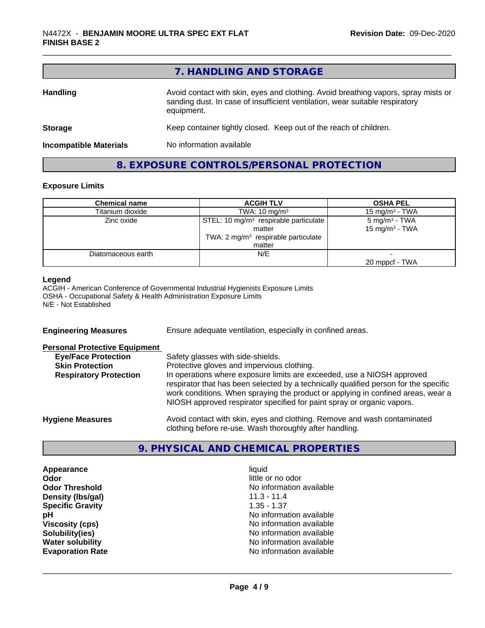|                               | 7. HANDLING AND STORAGE                                                                                                                                                          |
|-------------------------------|----------------------------------------------------------------------------------------------------------------------------------------------------------------------------------|
| <b>Handling</b>               | Avoid contact with skin, eyes and clothing. Avoid breathing vapors, spray mists or<br>sanding dust. In case of insufficient ventilation, wear suitable respiratory<br>equipment. |
| <b>Storage</b>                | Keep container tightly closed. Keep out of the reach of children.                                                                                                                |
| <b>Incompatible Materials</b> | No information available                                                                                                                                                         |
|                               | 8. EXPOSURE CONTROLS/PERSONAL PROTECTION                                                                                                                                         |

# **Exposure Limits**

| <b>Chemical name</b> | <b>ACGIH TLV</b>                                  | <b>OSHA PEL</b>            |
|----------------------|---------------------------------------------------|----------------------------|
| Titanium dioxide     | TWA: $10 \text{ mg/m}^3$                          | 15 mg/m $3$ - TWA          |
| Zinc oxide           | STEL: 10 mg/m <sup>3</sup> respirable particulate | $5 \text{ mg/m}^3$ - TWA   |
|                      | matter                                            | 15 mg/m <sup>3</sup> - TWA |
|                      | TWA: 2 mg/m <sup>3</sup> respirable particulate   |                            |
|                      | matter                                            |                            |
| Diatomaceous earth   | N/E                                               |                            |
|                      |                                                   | 20 mppcf - TWA             |

# **Legend**

ACGIH - American Conference of Governmental Industrial Hygienists Exposure Limits OSHA - Occupational Safety & Health Administration Exposure Limits N/E - Not Established

| <b>Engineering Measures</b>          | Ensure adequate ventilation, especially in confined areas.                                                                                                                                                                                                                                                                   |
|--------------------------------------|------------------------------------------------------------------------------------------------------------------------------------------------------------------------------------------------------------------------------------------------------------------------------------------------------------------------------|
| <b>Personal Protective Equipment</b> |                                                                                                                                                                                                                                                                                                                              |
| <b>Eye/Face Protection</b>           | Safety glasses with side-shields.                                                                                                                                                                                                                                                                                            |
| <b>Skin Protection</b>               | Protective gloves and impervious clothing.                                                                                                                                                                                                                                                                                   |
| <b>Respiratory Protection</b>        | In operations where exposure limits are exceeded, use a NIOSH approved<br>respirator that has been selected by a technically qualified person for the specific<br>work conditions. When spraying the product or applying in confined areas, wear a<br>NIOSH approved respirator specified for paint spray or organic vapors. |
| <b>Hygiene Measures</b>              | Avoid contact with skin, eyes and clothing. Remove and wash contaminated<br>clothing before re-use. Wash thoroughly after handling.                                                                                                                                                                                          |

# **9. PHYSICAL AND CHEMICAL PROPERTIES**

**Appearance** liquid<br> **Appearance** liquid<br> **Odor** little c **Density (Ibs/gal)** 11.3 - 11.4<br> **Specific Gravity** 1.35 - 1.37 **Specific Gravity** 

little or no odor **Odor Threshold**<br> **Density (Ibs/gal)**<br> **Density (Ibs/gal)**<br> **No information available**<br>
11.3 - 11.4 **pH**<br>
Viscosity (cps) The Contract of the Contract of the Viscosity (cps) and Viscosity (cps) **Viscosity (cps)** <br> **Viscosity (cps)** No information available<br>
No information available<br>
No information available **No information available Water solubility**<br> **Evaporation Rate**<br> **Evaporation Rate**<br> **Evaporation Rate Evaporation Rate** No information available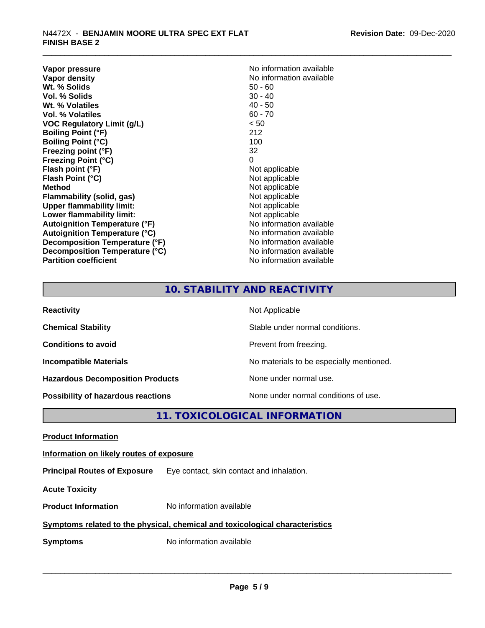**Vapor pressure** No information available<br> **Vapor density**<br> **Vapor density Wt. % Solids** 50 - 60<br> **Vol. % Solids** 50 - 40<br> **Vol. % Solids** 50 - 40 **Vol. % Solids** 30 - 40<br> **Wt. % Volatiles** 30 - 40 **Wt. % Volatiles Vol. % Volatiles** 60 - 70 **VOC Regulatory Limit (g/L)** < 50 **Boiling Point (°F)** 212 **Boiling Point (°C)** 100 **Freezing point (°F)** 32 **Freezing Point (°C)** 0 **Flash point (°F)** Not applicable **Flash Point (°C)**<br> **Method** Not applicable<br>
Not applicable<br>
Not applicable **Flammability** (solid, gas) **Upper flammability limit:**<br> **Lower flammability limit:** Not applicable Not applicable **Lower flammability limit:**<br> **Autoignition Temperature (°F)** Moinformation available **Autoignition Temperature (°F) Autoignition Temperature (°C)**<br> **Decomposition Temperature (°F)** No information available **Decomposition Temperature (°F) Decomposition Temperature (°C)** No information available **Partition coefficient Contract Community No information available** 

**No information available**<br>50 - 60 **Not applicable**<br>Not applicable

# **10. STABILITY AND REACTIVITY**

| <b>Reactivity</b>                         | Not Applicable                           |
|-------------------------------------------|------------------------------------------|
| <b>Chemical Stability</b>                 | Stable under normal conditions.          |
| <b>Conditions to avoid</b>                | Prevent from freezing.                   |
| <b>Incompatible Materials</b>             | No materials to be especially mentioned. |
| <b>Hazardous Decomposition Products</b>   | None under normal use.                   |
| <b>Possibility of hazardous reactions</b> | None under normal conditions of use.     |

# **11. TOXICOLOGICAL INFORMATION**

**Product Information**

**Information on likely routes of exposure**

**Principal Routes of Exposure** Eye contact, skin contact and inhalation.

**Acute Toxicity** 

**Product Information** No information available

# **Symptoms related to the physical,chemical and toxicological characteristics**

**Symptoms** No information available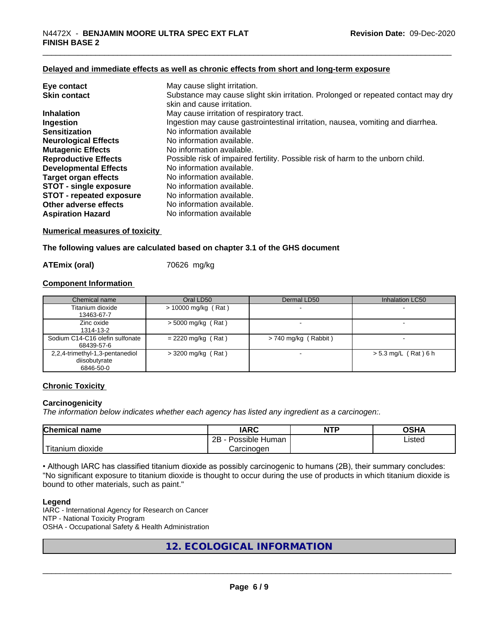# **Delayed and immediate effects as well as chronic effects from short and long-term exposure**

| Eye contact                     | May cause slight irritation.                                                      |
|---------------------------------|-----------------------------------------------------------------------------------|
| <b>Skin contact</b>             | Substance may cause slight skin irritation. Prolonged or repeated contact may dry |
|                                 | skin and cause irritation.                                                        |
| <b>Inhalation</b>               | May cause irritation of respiratory tract.                                        |
| Ingestion                       | Ingestion may cause gastrointestinal irritation, nausea, vomiting and diarrhea.   |
| <b>Sensitization</b>            | No information available                                                          |
| <b>Neurological Effects</b>     | No information available.                                                         |
| <b>Mutagenic Effects</b>        | No information available.                                                         |
| <b>Reproductive Effects</b>     | Possible risk of impaired fertility. Possible risk of harm to the unborn child.   |
| <b>Developmental Effects</b>    | No information available.                                                         |
| Target organ effects            | No information available.                                                         |
| <b>STOT - single exposure</b>   | No information available.                                                         |
| <b>STOT - repeated exposure</b> | No information available.                                                         |
| Other adverse effects           | No information available.                                                         |
| <b>Aspiration Hazard</b>        | No information available                                                          |

# **Numerical measures of toxicity**

**The following values are calculated based on chapter 3.1 of the GHS document**

#### **ATEmix (oral)** 70626 mg/kg

# **Component Information**

| Chemical name                                                 | Oral LD50            | Dermal LD50          | Inhalation LC50        |
|---------------------------------------------------------------|----------------------|----------------------|------------------------|
| Titanium dioxide<br>13463-67-7                                | > 10000 mg/kg (Rat)  |                      |                        |
| Zinc oxide<br>1314-13-2                                       | $>$ 5000 mg/kg (Rat) |                      |                        |
| Sodium C14-C16 olefin sulfonate<br>68439-57-6                 | $= 2220$ mg/kg (Rat) | > 740 mg/kg (Rabbit) |                        |
| 2,2,4-trimethyl-1,3-pentanediol<br>diisobutyrate<br>6846-50-0 | $>$ 3200 mg/kg (Rat) |                      | $> 5.3$ mg/L (Rat) 6 h |

# **Chronic Toxicity**

# **Carcinogenicity**

*The information below indicateswhether each agency has listed any ingredient as a carcinogen:.*

| Chemical<br>name        | <b>IARC</b>                    | <b>NTP</b> | OCHA<br>∙והט |
|-------------------------|--------------------------------|------------|--------------|
|                         | .<br>2B<br>: Human<br>Possible |            | Listed       |
| .<br>dioxide<br>itanium | Carcinogen                     |            |              |

• Although IARC has classified titanium dioxide as possibly carcinogenic to humans (2B), their summary concludes: "No significant exposure to titanium dioxide is thought to occur during the use of products in which titanium dioxide is bound to other materials, such as paint."

#### **Legend**

IARC - International Agency for Research on Cancer NTP - National Toxicity Program OSHA - Occupational Safety & Health Administration

# **12. ECOLOGICAL INFORMATION**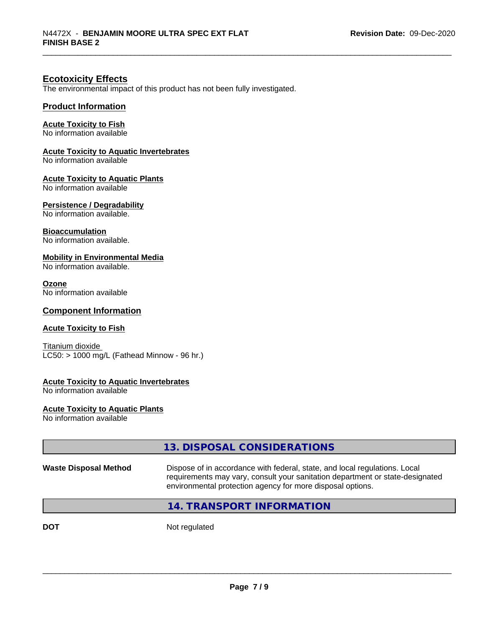# **Ecotoxicity Effects**

The environmental impact of this product has not been fully investigated.

# **Product Information**

# **Acute Toxicity to Fish**

No information available

# **Acute Toxicity to Aquatic Invertebrates**

No information available

# **Acute Toxicity to Aquatic Plants**

No information available

# **Persistence / Degradability**

No information available.

# **Bioaccumulation**

No information available.

## **Mobility in Environmental Media**

No information available.

#### **Ozone**

No information available

# **Component Information**

# **Acute Toxicity to Fish**

Titanium dioxide  $\overline{\text{LC50:}}$  > 1000 mg/L (Fathead Minnow - 96 hr.)

# **Acute Toxicity to Aquatic Invertebrates**

No information available

#### **Acute Toxicity to Aquatic Plants**

No information available

|                              | 13. DISPOSAL CONSIDERATIONS                                                                                                                                                                                               |
|------------------------------|---------------------------------------------------------------------------------------------------------------------------------------------------------------------------------------------------------------------------|
| <b>Waste Disposal Method</b> | Dispose of in accordance with federal, state, and local regulations. Local<br>requirements may vary, consult your sanitation department or state-designated<br>environmental protection agency for more disposal options. |
|                              | 14. TRANSPORT INFORMATION                                                                                                                                                                                                 |
|                              |                                                                                                                                                                                                                           |

**DOT** Not regulated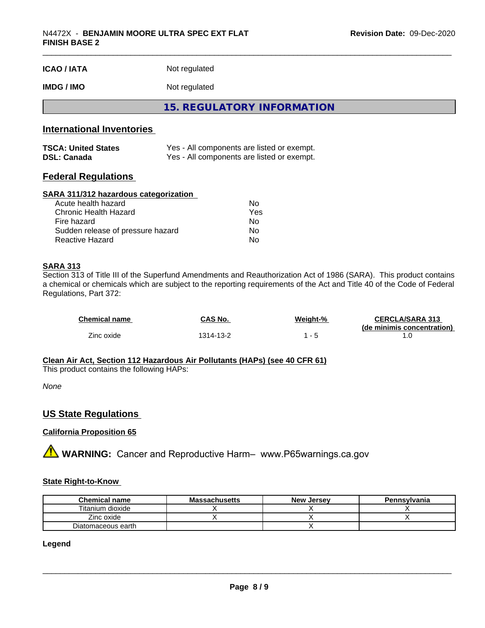| <b>ICAO / IATA</b>               | Not regulated                              |  |  |
|----------------------------------|--------------------------------------------|--|--|
| <b>IMDG/IMO</b>                  | Not regulated                              |  |  |
|                                  | 15. REGULATORY INFORMATION                 |  |  |
| <b>International Inventories</b> |                                            |  |  |
| <b>TSCA: United States</b>       | Yes - All components are listed or exempt. |  |  |

| <b>Federal Regulations</b> |  |
|----------------------------|--|

# **SARA 311/312 hazardous categorization**

| Acute health hazard               | No. |  |
|-----------------------------------|-----|--|
| Chronic Health Hazard             | Yes |  |
| Fire hazard                       | Nο  |  |
| Sudden release of pressure hazard | Nο  |  |
| Reactive Hazard                   | Nο  |  |

**DSL: Canada** Yes - All components are listed or exempt.

# **SARA 313**

Section 313 of Title III of the Superfund Amendments and Reauthorization Act of 1986 (SARA). This product contains a chemical or chemicals which are subject to the reporting requirements of the Act and Title 40 of the Code of Federal Regulations, Part 372:

| <b>Chemical name</b> | CAS No.   | Weight-% | <b>CERCLA/SARA 313</b><br>(de minimis concentration) |
|----------------------|-----------|----------|------------------------------------------------------|
| Zinc oxide           | 1314-13-2 |          |                                                      |

#### **Clean Air Act,Section 112 Hazardous Air Pollutants (HAPs) (see 40 CFR 61)**

This product contains the following HAPs:

*None*

# **US State Regulations**

# **California Proposition 65**

**A** WARNING: Cancer and Reproductive Harm– www.P65warnings.ca.gov

# **State Right-to-Know**

| <b>Chemical name</b> | <b>Massachusetts</b> | <b>New Jersey</b> | Pennsylvania |
|----------------------|----------------------|-------------------|--------------|
| Titanium dioxide     |                      |                   |              |
| Zinc oxide           |                      |                   |              |
| Diatomaceous earth   |                      |                   |              |

# **Legend**